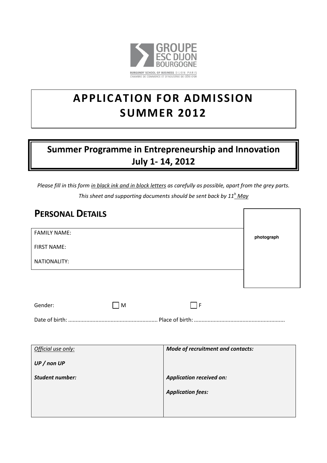

# **APPLICATION FOR ADMISSION SUMMER 2012**

## Summer Programme in Entrepreneurship and Innovation July 1- 14, 2012

*Please fill in this form in black ink and in block letters as carefully as possible, apart from the grey parts.*

| <b>PERSONAL DETAILS</b> |                                   |            |
|-------------------------|-----------------------------------|------------|
| <b>FAMILY NAME:</b>     |                                   | photograph |
| <b>FIRST NAME:</b>      |                                   |            |
| <b>NATIONALITY:</b>     |                                   |            |
|                         |                                   |            |
|                         |                                   |            |
| Gender:<br>M            | $ \cdot $ F                       |            |
|                         |                                   |            |
|                         |                                   |            |
| Official use only:      | Mode of recruitment and contacts: |            |
| UP/nonUP                |                                   |            |
| <b>Student number:</b>  | Application received on:          |            |
|                         | <b>Application fees:</b>          |            |
|                         |                                   |            |
|                         |                                   |            |

*This sheet and supporting documents should be sent back by 11<sup>h</sup> May*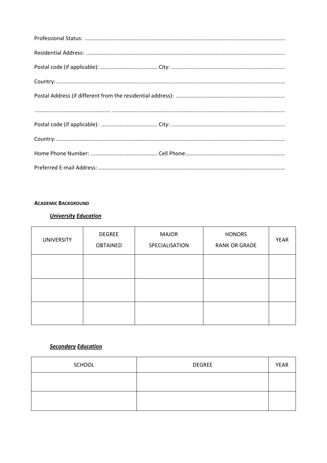## **ACADEMIC BACKGROUND**

## **University Education**

| <b>UNIVERSITY</b> | <b>DEGREE</b><br><b>OBTAINED</b> | <b>MAJOR</b><br>SPECIALISATION | <b>HONORS</b><br><b>RANK OR GRADE</b> | <b>YEAR</b> |
|-------------------|----------------------------------|--------------------------------|---------------------------------------|-------------|
|                   |                                  |                                |                                       |             |
|                   |                                  |                                |                                       |             |
|                   |                                  |                                |                                       |             |

## **Secondary Education**

| <b>SCHOOL</b> | <b>DEGREE</b> | <b>YEAR</b> |
|---------------|---------------|-------------|
|               |               |             |
|               |               |             |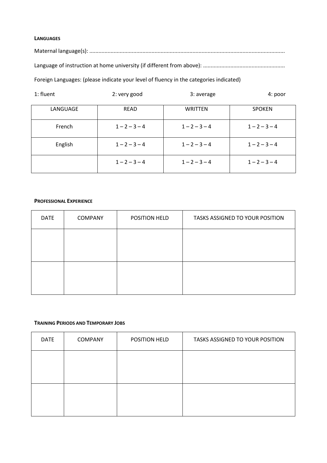#### **LANGUAGES**

Maternal language(s): .................................................................................................................................

Language of instruction at home university (if different from above): ......................................................

Foreign Languages: (please indicate your level of fluency in the categories indicated)

| 1: fluent | 2: very good    | 3: average      | 4: poor         |
|-----------|-----------------|-----------------|-----------------|
| LANGUAGE  | <b>READ</b>     | <b>WRITTEN</b>  | <b>SPOKEN</b>   |
| French    | $1 - 2 - 3 - 4$ | $1 - 2 - 3 - 4$ | $1 - 2 - 3 - 4$ |
| English   | $1 - 2 - 3 - 4$ | $1 - 2 - 3 - 4$ | $1 - 2 - 3 - 4$ |
|           | $1 - 2 - 3 - 4$ | $1 - 2 - 3 - 4$ | $1 - 2 - 3 - 4$ |

#### **PROFESSIONAL EXPERIENCE**

| <b>DATE</b> | <b>COMPANY</b> | POSITION HELD | TASKS ASSIGNED TO YOUR POSITION |
|-------------|----------------|---------------|---------------------------------|
|             |                |               |                                 |
|             |                |               |                                 |
|             |                |               |                                 |
|             |                |               |                                 |

#### **TRAINING PERIODS AND TEMPORARY JOBS**

| <b>DATE</b> | <b>COMPANY</b> | POSITION HELD | TASKS ASSIGNED TO YOUR POSITION |
|-------------|----------------|---------------|---------------------------------|
|             |                |               |                                 |
|             |                |               |                                 |
|             |                |               |                                 |
|             |                |               |                                 |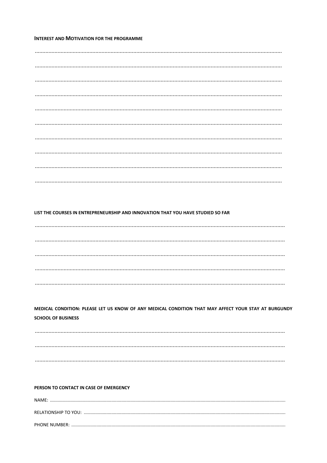#### **INTEREST AND MOTIVATION FOR THE PROGRAMME**

#### LIST THE COURSES IN ENTREPRENEURSHIP AND INNOVATION THAT YOU HAVE STUDIED SO FAR

MEDICAL CONDITION: PLEASE LET US KNOW OF ANY MEDICAL CONDITION THAT MAY AFFECT YOUR STAY AT BURGUNDY **SCHOOL OF BUSINESS** 

#### PERSON TO CONTACT IN CASE OF EMERGENCY

| NAMF: |
|-------|
|       |
|       |
|       |
|       |
|       |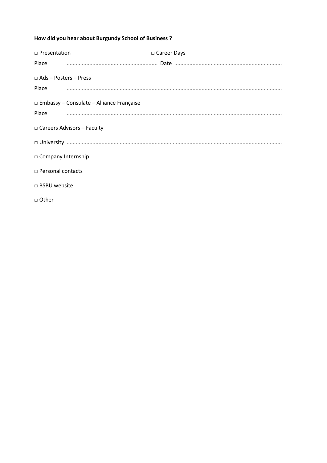## How did you hear about Burgundy School of Business ?

| $\Box$ Presentation                             | □ Career Days |
|-------------------------------------------------|---------------|
|                                                 |               |
| $\Box$ Ads - Posters - Press                    |               |
| Place                                           |               |
| $\Box$ Embassy – Consulate – Alliance Française |               |
| Place                                           |               |
| $\Box$ Careers Advisors – Faculty               |               |
|                                                 | $\square$     |
| $\Box$ Company Internship                       |               |
| $\Box$ Personal contacts                        |               |
| □ BSBU website                                  |               |
| □ Other                                         |               |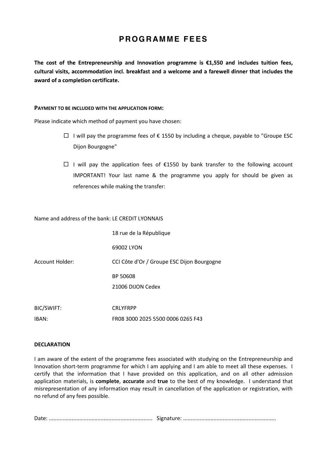## **PROGRAMME FEES**

The cost of the Entrepreneurship and Innovation programme is  $£1,550$  and includes tuition fees, cultural visits, accommodation incl. breakfast and a welcome and a farewell dinner that includes the award of a completion certificate.

#### **PAYMENT TO BE INCLUDED WITH THE APPLICATION FORM:**

Please indicate which method of payment you have chosen:

- $□$  I will pay the programme fees of € 1550 by including a cheque, payable to "Groupe ESC Dijon Bourgogne"
- $□$  I will pay the application fees of €1550 by bank transfer to the following account IMPORTANT! Your last name & the programme you apply for should be given as references while making the transfer:

Name and address of the bank: LE CREDIT LYONNAIS

|                 | 18 rue de la République                    |
|-----------------|--------------------------------------------|
|                 | 69002 LYON                                 |
| Account Holder: | CCI Côte d'Or / Groupe ESC Dijon Bourgogne |
|                 | BP 50608                                   |
|                 | 21006 DIJON Cedex                          |
|                 |                                            |
| BIC/SWIFT:      | <b>CRLYFRPP</b>                            |
| IBAN:           | FR08 3000 2025 5500 0006 0265 F43          |

#### **DECLARATION**

I am aware of the extent of the programme fees associated with studying on the Entrepreneurship and Innovation short-term programme for which I am applying and I am able to meet all these expenses. I certify that the information that I have provided on this application, and on all other admission application materials, is **complete**, **accurate** and **true** to the best of my knowledge. I understand that misrepresentation of any information may result in cancellation of the application or registration, with no refund of any fees possible.

Date: .................................................................... Signature: .............................................................